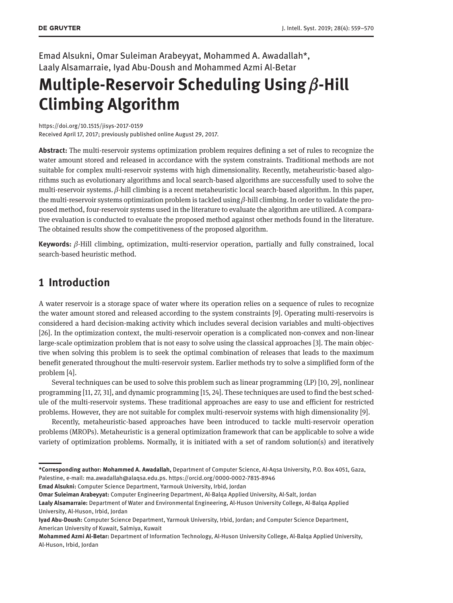Emad Alsukni, Omar Suleiman Arabeyyat, Mohammed A. Awadallah\*, Laaly Alsamarraie, Iyad Abu-Doush and Mohammed Azmi Al-Betar

# **Multiple-Reservoir Scheduling Using** β**-Hill Climbing Algorithm**

https://doi.org/10.1515/jisys-2017-0159

Received April 17, 2017; previously published online August 29, 2017.

**Abstract:** The multi-reservoir systems optimization problem requires defining a set of rules to recognize the water amount stored and released in accordance with the system constraints. Traditional methods are not suitable for complex multi-reservoir systems with high dimensionality. Recently, metaheuristic-based algorithms such as evolutionary algorithms and local search-based algorithms are successfully used to solve the multi-reservoir systems. β-hill climbing is a recent metaheuristic local search-based algorithm. In this paper, the multi-reservoir systems optimization problem is tackled using  $\beta$ -hill climbing. In order to validate the proposed method, four-reservoir systems used in the literature to evaluate the algorithm are utilized. A comparative evaluation is conducted to evaluate the proposed method against other methods found in the literature. The obtained results show the competitiveness of the proposed algorithm.

**Keywords:** β-Hill climbing, optimization, multi-reservior operation, partially and fully constrained, local search-based heuristic method.

## **1 Introduction**

A water reservoir is a storage space of water where its operation relies on a sequence of rules to recognize the water amount stored and released according to the system constraints [9]. Operating multi-reservoirs is considered a hard decision-making activity which includes several decision variables and multi-objectives [26]. In the optimization context, the multi-reservoir operation is a complicated non-convex and non-linear large-scale optimization problem that is not easy to solve using the classical approaches [3]. The main objective when solving this problem is to seek the optimal combination of releases that leads to the maximum benefit generated throughout the multi-reservoir system. Earlier methods try to solve a simplified form of the problem [4].

Several techniques can be used to solve this problem such as linear programming (LP) [10, 29], nonlinear programming [11, 27, 31], and dynamic programming [15, 24]. These techniques are used to find the best schedule of the multi-reservoir systems. These traditional approaches are easy to use and efficient for restricted problems. However, they are not suitable for complex multi-reservoir systems with high dimensionality [9].

Recently, metaheuristic-based approaches have been introduced to tackle multi-reservoir operation problems (MROPs). Metaheuristic is a general optimization framework that can be applicable to solve a wide variety of optimization problems. Normally, it is initiated with a set of random solution(s) and iteratively

**Emad Alsukni:** Computer Science Department, Yarmouk University, Irbid, Jordan

**Omar Suleiman Arabeyyat:** Computer Engineering Department, Al-Balqa Applied University, Al-Salt, Jordan

**<sup>\*</sup>Corresponding author: Mohammed A. Awadallah,** Department of Computer Science, Al-Aqsa University, P.O. Box 4051, Gaza, Palestine, e-mail: ma.awadallah@alaqsa.edu.ps. https://orcid.org/0000-0002-7815-8946

**Laaly Alsamarraie:** Department of Water and Environmental Engineering, Al-Huson University College, Al-Balqa Applied University, Al-Huson, Irbid, Jordan

**Iyad Abu-Doush:** Computer Science Department, Yarmouk University, Irbid, Jordan; and Computer Science Department, American University of Kuwait, Salmiya, Kuwait

**Mohammed Azmi Al-Betar:** Department of Information Technology, Al-Huson University College, Al-Balqa Applied University, Al-Huson, Irbid, Jordan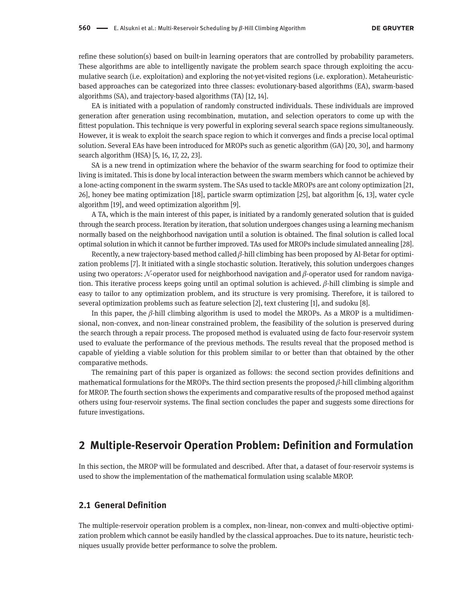refine these solution(s) based on built-in learning operators that are controlled by probability parameters. These algorithms are able to intelligently navigate the problem search space through exploiting the accumulative search (i.e. exploitation) and exploring the not-yet-visited regions (i.e. exploration). Metaheuristicbased approaches can be categorized into three classes: evolutionary-based algorithms (EA), swarm-based algorithms (SA), and trajectory-based algorithms (TA) [12, 14].

EA is initiated with a population of randomly constructed individuals. These individuals are improved generation after generation using recombination, mutation, and selection operators to come up with the fittest population. This technique is very powerful in exploring several search space regions simultaneously. However, it is weak to exploit the search space region to which it converges and finds a precise local optimal solution. Several EAs have been introduced for MROPs such as genetic algorithm (GA) [20, 30], and harmony search algorithm (HSA) [5, 16, 17, 22, 23].

SA is a new trend in optimization where the behavior of the swarm searching for food to optimize their living is imitated. This is done by local interaction between the swarm members which cannot be achieved by a lone-acting component in the swarm system. The SAs used to tackle MROPs are ant colony optimization [21, 26], honey bee mating optimization [18], particle swarm optimization [25], bat algorithm [6, 13], water cycle algorithm [19], and weed optimization algorithm [9].

A TA, which is the main interest of this paper, is initiated by a randomly generated solution that is guided through the search process. Iteration by iteration, that solution undergoes changes using a learning mechanism normally based on the neighborhood navigation until a solution is obtained. The final solution is called local optimal solution in which it cannot be further improved. TAs used for MROPs include simulated annealing [28].

Recently, a new trajectory-based method called  $\beta$ -hill climbing has been proposed by Al-Betar for optimization problems [7]. It initiated with a single stochastic solution. Iteratively, this solution undergoes changes using two operators: N-operator used for neighborhood navigation and β-operator used for random navigation. This iterative process keeps going until an optimal solution is achieved. β-hill climbing is simple and easy to tailor to any optimization problem, and its structure is very promising. Therefore, it is tailored to several optimization problems such as feature selection [2], text clustering [1], and sudoku [8].

In this paper, the  $\beta$ -hill climbing algorithm is used to model the MROPs. As a MROP is a multidimensional, non-convex, and non-linear constrained problem, the feasibility of the solution is preserved during the search through a repair process. The proposed method is evaluated using de facto four-reservoir system used to evaluate the performance of the previous methods. The results reveal that the proposed method is capable of yielding a viable solution for this problem similar to or better than that obtained by the other comparative methods.

The remaining part of this paper is organized as follows: the second section provides definitions and mathematical formulations for the MROPs. The third section presents the proposed  $\beta$ -hill climbing algorithm for MROP. The fourth section shows the experiments and comparative results of the proposed method against others using four-reservoir systems. The final section concludes the paper and suggests some directions for future investigations.

## **2 Multiple-Reservoir Operation Problem: Definition and Formulation**

In this section, the MROP will be formulated and described. After that, a dataset of four-reservoir systems is used to show the implementation of the mathematical formulation using scalable MROP.

#### **2.1 General Definition**

The multiple-reservoir operation problem is a complex, non-linear, non-convex and multi-objective optimization problem which cannot be easily handled by the classical approaches. Due to its nature, heuristic techniques usually provide better performance to solve the problem.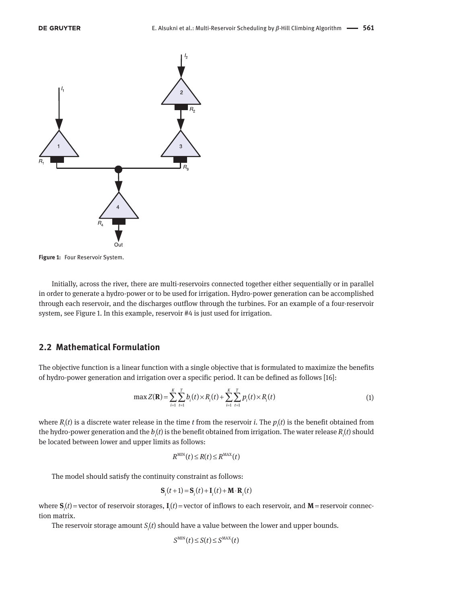

**Figure 1:** Four Reservoir System.

Initially, across the river, there are multi-reservoirs connected together either sequentially or in parallel in order to generate a hydro-power or to be used for irrigation. Hydro-power generation can be accomplished through each reservoir, and the discharges outflow through the turbines. For an example of a four-reservoir system, see Figure 1. In this example, reservoir #4 is just used for irrigation.

#### **2.2 Mathematical Formulation**

The objective function is a linear function with a single objective that is formulated to maximize the benefits of hydro-power generation and irrigation over a specific period. It can be defined as follows [16]:

$$
\max Z(\mathbf{R}) = \sum_{i=1}^{K} \sum_{t=1}^{T} b_i(t) \times R_i(t) + \sum_{i=1}^{K} \sum_{t=1}^{T} p_i(t) \times R_i(t)
$$
\n(1)

where  $R_i(t)$  is a discrete water release in the time *t* from the reservoir *i*. The  $p_i(t)$  is the benefit obtained from the hydro-power generation and the  $b_i(t)$  is the benefit obtained from irrigation. The water release  $R_i(t)$  should be located between lower and upper limits as follows:

$$
R^{\text{MIN}}(t) \leq R(t) \leq R^{\text{MAX}}(t)
$$

The model should satisfy the continuity constraint as follows:

$$
\mathbf{S}_i(t+1) = \mathbf{S}_i(t) + \mathbf{I}_i(t) + \mathbf{M} \cdot \mathbf{R}_i(t)
$$

where  $S_i(t)$  = vector of reservoir storages,  $I_i(t)$  = vector of inflows to each reservoir, and  $M$  = reservoir connection matrix.

The reservoir storage amount *S<sup>i</sup>* (*t*) should have a value between the lower and upper bounds.

$$
S^{\text{MIN}}(t) \leq S(t) \leq S^{\text{MAX}}(t)
$$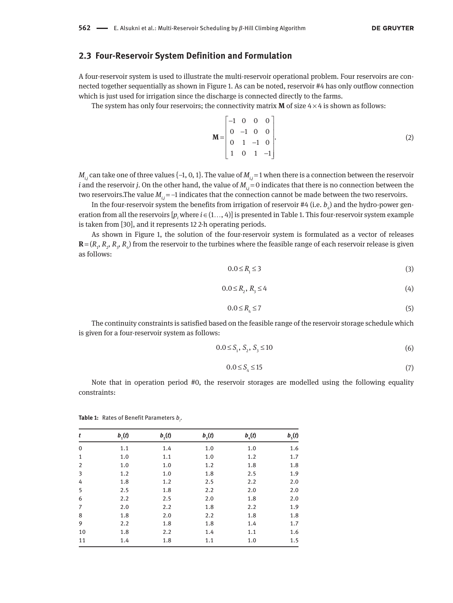#### **2.3 Four-Reservoir System Definition and Formulation**

A four-reservoir system is used to illustrate the multi-reservoir operational problem. Four reservoirs are connected together sequentially as shown in Figure 1. As can be noted, reservoir #4 has only outflow connection which is just used for irrigation since the discharge is connected directly to the farms.

The system has only four reservoirs; the connectivity matrix **M** of size  $4 \times 4$  is shown as follows:

$$
\mathbf{M} = \begin{bmatrix} -1 & 0 & 0 & 0 \\ 0 & -1 & 0 & 0 \\ 0 & 1 & -1 & 0 \\ 1 & 0 & 1 & -1 \end{bmatrix}.
$$
 (2)

 $M_i$ ; can take one of three values {-1, 0, 1}. The value of  $M_i$  = 1 when there is a connection between the reservoir *i* and the reservoir *j*. On the other hand, the value of  $M<sub>i</sub>$  = 0 indicates that there is no connection between the two reservoirs.The value *M<sub>ij</sub>* = −1 indicates that the connection cannot be made between the two reservoirs.

In the four-reservoir system the benefits from irrigation of reservoir #4 (i.e.  $b_{\scriptscriptstyle 4}$ ) and the hydro-power generation from all the reservoirs  $[p_i$  where  $i \in (1, ..., 4)]$  is presented in Table 1. This four-reservoir system example is taken from [30], and it represents 12 2-h operating periods.

As shown in Figure 1, the solution of the four-reservoir system is formulated as a vector of releases  **from the reservoir to the turbines where the feasible range of each reservoir release is given** as follows:

$$
0.0 \le R_{1} \le 3 \tag{3}
$$

$$
0.0 \le R_{2}, R_{3} \le 4 \tag{4}
$$

$$
0.0 \le R_{\rm q} \le 7 \tag{5}
$$

The continuity constraints is satisfied based on the feasible range of the reservoir storage schedule which is given for a four-reservoir system as follows:

$$
0.0 \le S_1, S_2, S_3 \le 10 \tag{6}
$$

$$
0.0 \le S_4 \le 15 \tag{7}
$$

Note that in operation period #0, the reservoir storages are modelled using the following equality constraints:

| t           | $b_{1}(t)$ | $b_{2}(t)$ | $b_{3}(t)$ | $b_{\scriptscriptstyle 4}(t)$ | $b_{5}(t)$ |
|-------------|------------|------------|------------|-------------------------------|------------|
| $\mathbf 0$ | 1.1        | 1.4        | 1.0        | 1.0                           | 1.6        |
| 1           | 1.0        | 1.1        | 1.0        | 1.2                           | 1.7        |
| 2           | 1.0        | 1.0        | 1.2        | 1.8                           | 1.8        |
| 3           | 1.2        | 1.0        | 1.8        | 2.5                           | 1.9        |
| 4           | 1.8        | 1.2        | 2.5        | 2.2                           | 2.0        |
| 5           | 2.5        | 1.8        | 2.2        | 2.0                           | 2.0        |
| 6           | 2.2        | 2.5        | 2.0        | 1.8                           | 2.0        |
| 7           | 2.0        | 2.2        | 1.8        | 2.2                           | 1.9        |
| 8           | 1.8        | 2.0        | 2.2        | 1.8                           | 1.8        |
| 9           | 2.2        | 1.8        | 1.8        | 1.4                           | 1.7        |
| 10          | 1.8        | 2.2        | 1.4        | 1.1                           | 1.6        |
| 11          | 1.4        | 1.8        | 1.1        | 1.0                           | 1.5        |

**Table 1:** Rates of Benefit Parameters *b<sup>i</sup>* .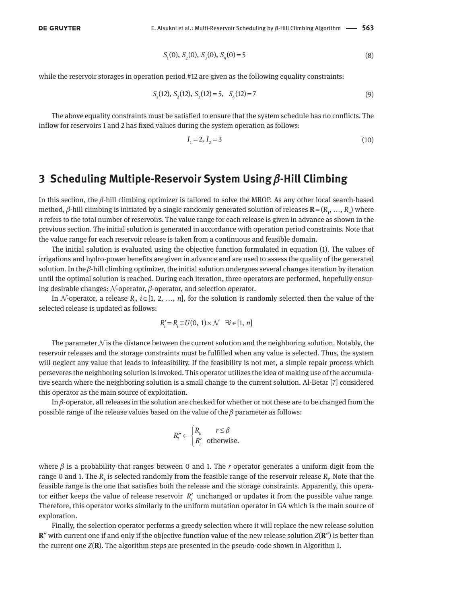$$
S_1(0), S_2(0), S_3(0), S_4(0) = 5
$$
\n(8)

while the reservoir storages in operation period #12 are given as the following equality constraints:

$$
S_1(12), S_2(12), S_3(12) = 5, S_4(12) = 7
$$
\n(9)

The above equality constraints must be satisfied to ensure that the system schedule has no conflicts. The inflow for reservoirs 1 and 2 has fixed values during the system operation as follows:

$$
I_1 = 2, I_2 = 3 \tag{10}
$$

## **3 Scheduling Multiple-Reservoir System Using** β**-Hill Climbing**

In this section, the β-hill climbing optimizer is tailored to solve the MROP. As any other local search-based method, β-hill climbing is initiated by a single randomly generated solution of releases  **where** *n* refers to the total number of reservoirs. The value range for each release is given in advance as shown in the previous section. The initial solution is generated in accordance with operation period constraints. Note that the value range for each reservoir release is taken from a continuous and feasible domain.

The initial solution is evaluated using the objective function formulated in equation (1). The values of irrigations and hydro-power benefits are given in advance and are used to assess the quality of the generated solution. In the  $\beta$ -hill climbing optimizer, the initial solution undergoes several changes iteration by iteration until the optimal solution is reached. During each iteration, three operators are performed, hopefully ensuring desirable changes:  $\mathcal N$ -operator,  $\beta$ -operator, and selection operator.

In  $\mathcal N$ -operator, a release  $R$ <sup>*i*</sup>  $\in$  [1, 2, …, *n*], for the solution is randomly selected then the value of the selected release is updated as follows:

$$
R'_i = R_i \mp U(0, 1) \times \mathcal{N} \quad \exists i \in [1, n]
$$

The parameter  $\mathcal N$  is the distance between the current solution and the neighboring solution. Notably, the reservoir releases and the storage constraints must be fulfilled when any value is selected. Thus, the system will neglect any value that leads to infeasibility. If the feasibility is not met, a simple repair process which perseveres the neighboring solution is invoked. This operator utilizes the idea of making use of the accumulative search where the neighboring solution is a small change to the current solution. Al-Betar [7] considered this operator as the main source of exploitation.

In β-operator, all releases in the solution are checked for whether or not these are to be changed from the possible range of the release values based on the value of the  $\beta$  parameter as follows:

$$
R_i'' \leftarrow \begin{cases} R_k & r \le \beta \\ R_i' & \text{otherwise.} \end{cases}
$$

where  $\beta$  is a probability that ranges between 0 and 1. The *r* operator generates a uniform digit from the range 0 and 1. The  $R_k$  is selected randomly from the feasible range of the reservoir release  $R_i$ . Note that the feasible range is the one that satisfies both the release and the storage constraints. Apparently, this operator either keeps the value of release reservoir  $R'_{i}$  unchanged or updates it from the possible value range. Therefore, this operator works similarly to the uniform mutation operator in GA which is the main source of exploration.

Finally, the selection operator performs a greedy selection where it will replace the new release solution **R**″ with current one if and only if the objective function value of the new release solution *Z*(**R**″) is better than the current one *Z*(**R**). The algorithm steps are presented in the pseudo-code shown in Algorithm 1.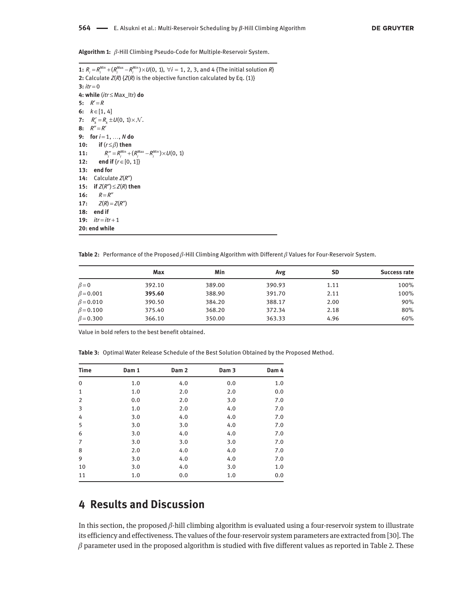**Algorithm 1:** β-Hill Climbing Pseudo-Code for Multiple-Reservoir System.

 $1: R_{i} = R_{i}^{Min} + (R_{i}^{Max} - R_{i}^{Min}) \times U(0, 1), \ \forall i = 1, 2, 3, \text{ and } 4 \text{ [The initial solution } R \}$ **2:** Calculate *Z*(*R*) {*Z*(*R*) is the objective function calculated by Eq. (1)}  $3:$   $itr = 0$ **4: while** (*itr* ≤ Max\_Itr) **do** 5:  $R' = R$ **6:** *k* ∈[1, 4] **7:**  $R'_k = R_k \pm U(0, 1) \times \mathcal{N}$ . **8:**  $R'' = R'$ **9: for** *i* = 1, …, *N* **do 10: if** (*r* ≤ β) **then 11:**  $R_i'' = R_i^{\text{Min}} + (R_i^{\text{Max}} - R_i^{\text{Min}}) \times U(0, 1)$ **12: end if** {*r* ∈[0, 1]} **13: end for 14:** Calculate *Z*(*R*″) **15: if**  $Z(R'') \leq Z(R)$  **then 16:**  $R = R''$ **17:**  $Z(R) = Z(R')$ **18: end if 19:** *itr* = *itr* + 1 **20: end while**

**Table 2:** Performance of the Proposed β-Hill Climbing Algorithm with Different β Values for Four-Reservoir System.

|                 | Max    | Min    | Avg    | <b>SD</b> | Success rate |
|-----------------|--------|--------|--------|-----------|--------------|
| $\beta = 0$     | 392.10 | 389.00 | 390.93 | 1.11      | 100%         |
| $\beta = 0.001$ | 395.60 | 388.90 | 391.70 | 2.11      | 100%         |
| $\beta = 0.010$ | 390.50 | 384.20 | 388.17 | 2.00      | 90%          |
| $\beta = 0.100$ | 375.40 | 368.20 | 372.34 | 2.18      | 80%          |
| $\beta = 0.300$ | 366.10 | 350.00 | 363.33 | 4.96      | 60%          |

Value in bold refers to the best benefit obtained.

**Table 3:** Optimal Water Release Schedule of the Best Solution Obtained by the Proposed Method.

| <b>Time</b> | Dam 1 | Dam <sub>2</sub> | Dam <sub>3</sub> | Dam 4 |
|-------------|-------|------------------|------------------|-------|
| $\mathbf 0$ | 1.0   | 4.0              | 0.0              | 1.0   |
| 1           | 1.0   | 2.0              | 2.0              | 0.0   |
| 2           | 0.0   | 2.0              | 3.0              | 7.0   |
| 3           | 1.0   | 2.0              | 4.0              | 7.0   |
| 4           | 3.0   | 4.0              | 4.0              | 7.0   |
| 5           | 3.0   | 3.0              | 4.0              | 7.0   |
| 6           | 3.0   | 4.0              | 4.0              | 7.0   |
| 7           | 3.0   | 3.0              | 3.0              | 7.0   |
| 8           | 2.0   | 4.0              | 4.0              | 7.0   |
| 9           | 3.0   | 4.0              | 4.0              | 7.0   |
| 10          | 3.0   | 4.0              | 3.0              | 1.0   |
| 11          | 1.0   | 0.0              | 1.0              | 0.0   |

# **4 Results and Discussion**

In this section, the proposed  $\beta$ -hill climbing algorithm is evaluated using a four-reservoir system to illustrate its efficiency and effectiveness. The values of the four-reservoir system parameters are extracted from [30]. The  $\beta$  parameter used in the proposed algorithm is studied with five different values as reported in Table 2. These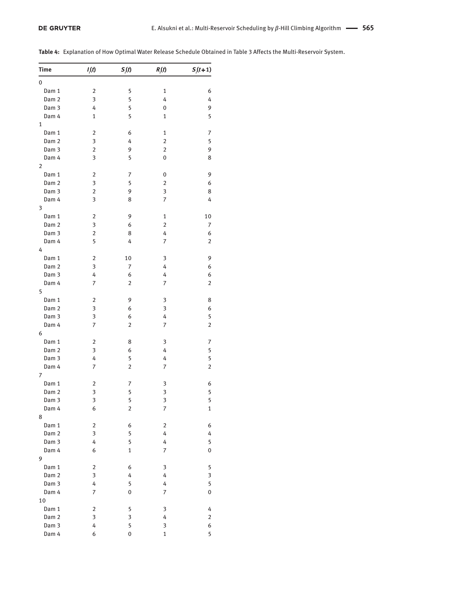|  |  |  | <b>Table 4:</b> Explanation of How Optimal Water Release Schedule Obtained in Table 3 Affects the Multi-Reservoir System. |  |  |
|--|--|--|---------------------------------------------------------------------------------------------------------------------------|--|--|
|--|--|--|---------------------------------------------------------------------------------------------------------------------------|--|--|

| <b>Time</b>      | $I_i(t)$                | $S_i(t)$       | $R_i(t)$                | $S_i(t+1)$     |
|------------------|-------------------------|----------------|-------------------------|----------------|
| 0                |                         |                |                         |                |
| Dam 1            | 2                       | 5              | 1                       | 6              |
| Dam <sub>2</sub> | 3                       | 5              | 4                       | 4              |
| Dam 3            | 4                       | 5              | 0                       | 9              |
| Dam 4            | $\mathbf{1}$            | 5              | 1                       | 5              |
| 1                |                         |                |                         |                |
|                  | 2                       | 6              | 1                       | 7              |
| Dam 1            | 3                       |                | $\overline{\mathbf{c}}$ |                |
| Dam <sub>2</sub> | $\overline{2}$          | 4<br>9         | $\overline{2}$          | 5<br>9         |
| Dam 3            |                         |                |                         |                |
| Dam 4            | 3                       | 5              | 0                       | 8              |
| $\overline{2}$   |                         |                |                         |                |
| Dam 1            | $\overline{2}$          | 7              | 0                       | 9              |
| Dam <sub>2</sub> | 3                       | 5              | 2                       | 6              |
| Dam 3            | $\overline{2}$          | 9              | 3                       | 8              |
| Dam 4            | $\overline{\mathbf{3}}$ | 8              | 7                       | 4              |
| 3                |                         |                |                         |                |
| Dam 1            | $\overline{2}$          | 9              | 1                       | 10             |
| Dam <sub>2</sub> | 3                       | 6              | $\overline{\mathbf{c}}$ | 7              |
| Dam 3            | 2                       | 8              | 4                       | 6              |
| Dam 4            | 5                       | 4              | 7                       | $\overline{2}$ |
| 4                |                         |                |                         |                |
| Dam 1            | $\overline{2}$          | 10             | 3                       | 9              |
| Dam <sub>2</sub> | 3                       | 7              | 4                       | 6              |
| Dam <sub>3</sub> | 4                       | 6              | 4                       | 6              |
| Dam 4            | 7                       | $\overline{2}$ | 7                       | 2              |
| 5                |                         |                |                         |                |
| Dam 1            | $\overline{2}$          | 9              | 3                       | 8              |
| Dam <sub>2</sub> | 3                       | 6              | 3                       | 6              |
| Dam 3            | 3                       | 6              | 4                       | 5              |
| Dam 4            | 7                       | $\overline{2}$ | $\overline{7}$          | $\overline{c}$ |
| 6                |                         |                |                         |                |
| Dam 1            | $\overline{2}$          | 8              | 3                       | 7              |
| Dam <sub>2</sub> | 3                       | 6              | 4                       | 5              |
| Dam 3            | 4                       | 5              | 4                       | 5              |
| Dam 4            | 7                       | $\overline{2}$ | 7                       | $\overline{2}$ |
| 7                |                         |                |                         |                |
| Dam 1            | 2                       | 7              | 3                       | 6              |
| Dam <sub>2</sub> | 3                       | 5              | 3                       | 5              |
| Dam 3            | 3                       | 5              | 3                       | 5              |
| Dam 4            | 6                       | 2              | 7                       | 1              |
| 8                |                         |                |                         |                |
| Dam 1            | $\overline{2}$          | 6              | $\overline{2}$          | 6              |
| Dam <sub>2</sub> | 3                       | 5              | 4                       | 4              |
| Dam <sub>3</sub> | 4                       | 5              | 4                       | 5              |
| Dam 4            | 6                       | 1              | 7                       | $\mathbf 0$    |
|                  |                         |                |                         |                |
| 9                |                         |                |                         |                |
| Dam 1            | $\overline{2}$          | 6              | 3                       | 5              |
| Dam <sub>2</sub> | $\overline{\mathbf{3}}$ | 4              | 4                       | 3              |
| Dam 3            | 4                       | 5              | 4                       | 5              |
| Dam 4            | 7                       | 0              | 7                       | 0              |
| 10               |                         |                |                         |                |
| Dam 1            | 2                       | 5              | 3                       | 4              |
| Dam <sub>2</sub> | $\overline{\mathbf{3}}$ | 3              | 4                       | $\overline{2}$ |
| Dam 3            | 4                       | 5              | 3                       | 6              |
| Dam 4            | 6                       | 0              | $\mathbf{1}$            | 5              |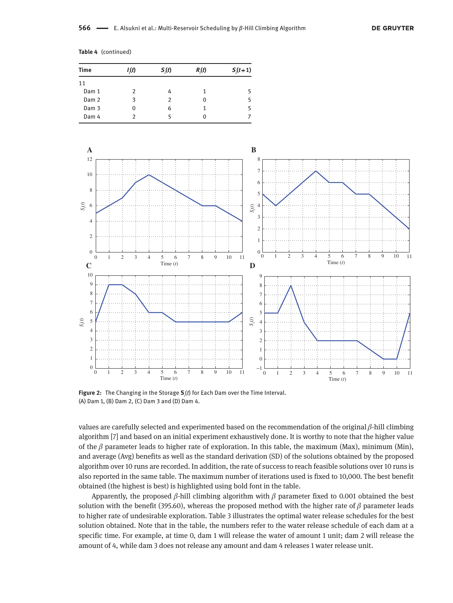|  | Table 4 (continued) |  |  |  |  |
|--|---------------------|--|--|--|--|
|--|---------------------|--|--|--|--|

| <b>Time</b> | I(t) | $S_i(t)$ | $R_i(t)$ | $S_{i}(t+1)$ |
|-------------|------|----------|----------|--------------|
| 11          |      |          |          |              |
| Dam 1       | 2    |          |          |              |
| Dam 2       | 3    |          | 0        |              |
| Dam 3       | Ω    | 6        |          |              |
| Dam 4       |      |          |          |              |



**Figure 2:** The Changing in the Storage **S***<sup>i</sup>* (*t*) for Each Dam over the Time Interval. (A) Dam 1, (B) Dam 2, (C) Dam 3 and (D) Dam 4.

values are carefully selected and experimented based on the recommendation of the original β-hill climbing algorithm [7] and based on an initial experiment exhaustively done. It is worthy to note that the higher value of the  $\beta$  parameter leads to higher rate of exploration. In this table, the maximum (Max), minimum (Min), and average (Avg) benefits as well as the standard derivation (SD) of the solutions obtained by the proposed algorithm over 10 runs are recorded. In addition, the rate of success to reach feasible solutions over 10 runs is also reported in the same table. The maximum number of iterations used is fixed to 10,000. The best benefit obtained (the highest is best) is highlighted using bold font in the table.

Apparently, the proposed  $\beta$ -hill climbing algorithm with  $\beta$  parameter fixed to 0.001 obtained the best solution with the benefit (395.60), whereas the proposed method with the higher rate of  $\beta$  parameter leads to higher rate of undesirable exploration. Table 3 illustrates the optimal water release schedules for the best solution obtained. Note that in the table, the numbers refer to the water release schedule of each dam at a specific time. For example, at time 0, dam 1 will release the water of amount 1 unit; dam 2 will release the amount of 4, while dam 3 does not release any amount and dam 4 releases 1 water release unit.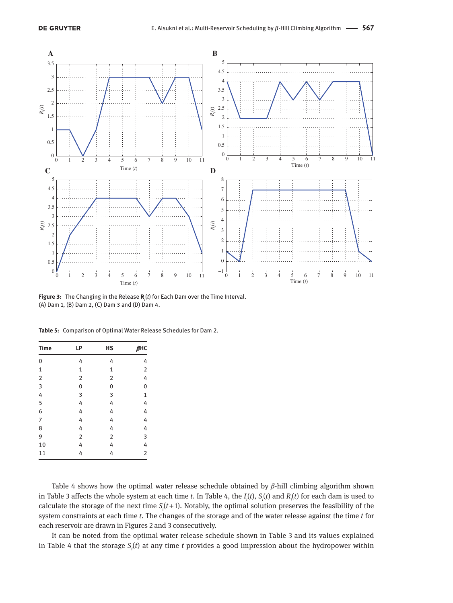

**Figure 3:** The Changing in the Release **R***<sup>i</sup>* (*t*) for Each Dam over the Time Interval. (A) Dam 1, (B) Dam 2, (C) Dam 3 and (D) Dam 4.

| <b>Time</b>    | LP             | <b>HS</b>      | $\beta$ HC     |
|----------------|----------------|----------------|----------------|
| $\mathbf 0$    | 4              | 4              | 4              |
| $\mathbf{1}$   | $\mathbf 1$    | 1              | $\overline{2}$ |
| $\overline{2}$ | $\overline{2}$ | $\overline{2}$ | 4              |
| 3              | 0              | 0              | 0              |
| 4              | 3              | 3              | $\mathbf 1$    |
| 5              | 4              | 4              | 4              |
| 6              | 4              | 4              | 4              |
| $\overline{7}$ | 4              | 4              | 4              |
| 8              | 4              | 4              | 4              |
| 9              | $\overline{2}$ | $\overline{2}$ | 3              |
| 10             | 4              | 4              | 4              |
| 11             | 4              | 4              | $\overline{2}$ |
|                |                |                |                |

**Table 5:** Comparison of Optimal Water Release Schedules for Dam 2.

Table 4 shows how the optimal water release schedule obtained by  $\beta$ -hill climbing algorithm shown in Table 3 affects the whole system at each time *t*. In Table 4, the *I i* (*t*), *S<sup>i</sup>* (*t*) and *R<sup>i</sup>* (*t*) for each dam is used to calculate the storage of the next time  $S_i(t+1)$ . Notably, the optimal solution preserves the feasibility of the system constraints at each time *t*. The changes of the storage and of the water release against the time *t* for each reservoir are drawn in Figures 2 and 3 consecutively.

It can be noted from the optimal water release schedule shown in Table 3 and its values explained in Table 4 that the storage *S<sup>i</sup>* (*t*) at any time *t* provides a good impression about the hydropower within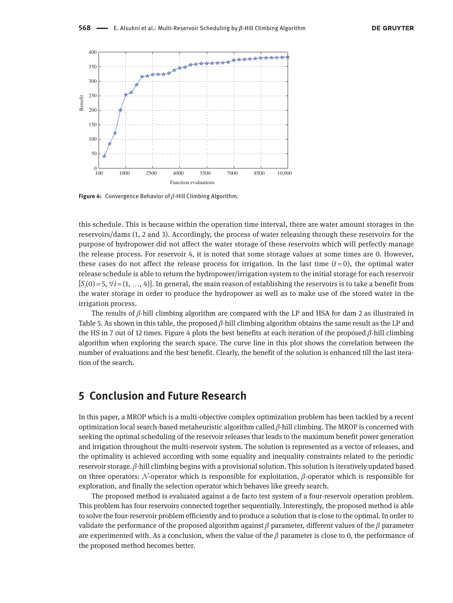

**Figure 4:** Convergence Behavior of β-Hill Climbing Algorithm.

this schedule. This is because within the operation time interval, there are water amount storages in the reservoirs/dams (1, 2 and 3). Accordingly, the process of water releasing through these reservoirs for the purpose of hydropower did not affect the water storage of these reservoirs which will perfectly manage the release process. For reservoir 4, it is noted that some storage values at some times are 0. However, these cases do not affect the release process for irrigation. In the last time  $(t=0)$ , the optimal water release schedule is able to return the hydropower/irrigation system to the initial storage for each reservoir  $[S_i(0) = 5, \forall i = (1, ..., 4)]$ . In general, the main reason of establishing the reservoirs is to take a benefit from the water storage in order to produce the hydropower as well as to make use of the stored water in the irrigation process.

The results of  $\beta$ -hill climbing algorithm are compared with the LP and HSA for dam 2 as illustrated in Table 5. As shown in this table, the proposed  $\beta$ -hill climbing algorithm obtains the same result as the LP and the HS in 7 out of 12 times. Figure 4 plots the best benefits at each iteration of the proposed  $β$ -hill climbing algorithm when exploring the search space. The curve line in this plot shows the correlation between the number of evaluations and the best benefit. Clearly, the benefit of the solution is enhanced till the last iteration of the search.

## **5 Conclusion and Future Research**

In this paper, a MROP which is a multi-objective complex optimization problem has been tackled by a recent optimization local search-based metaheuristic algorithm called β-hill climbing. The MROP is concerned with seeking the optimal scheduling of the reservoir releases that leads to the maximum benefit power generation and irrigation throughout the multi-reservoir system. The solution is represented as a vector of releases, and the optimality is achieved according with some equality and inequality constraints related to the periodic reservoir storage.  $β$ -hill climbing begins with a provisional solution. This solution is iteratively updated based on three operators: N-operator which is responsible for exploitation,  $\beta$ -operator which is responsible for exploration, and finally the selection operator which behaves like greedy search.

The proposed method is evaluated against a de facto test system of a four-reservoir operation problem. This problem has four reservoirs connected together sequentially. Interestingly, the proposed method is able to solve the four-reservoir problem efficiently and to produce a solution that is close to the optimal. In order to validate the performance of the proposed algorithm against  $\beta$  parameter, different values of the  $\beta$  parameter are experimented with. As a conclusion, when the value of the  $\beta$  parameter is close to 0, the performance of the proposed method becomes better.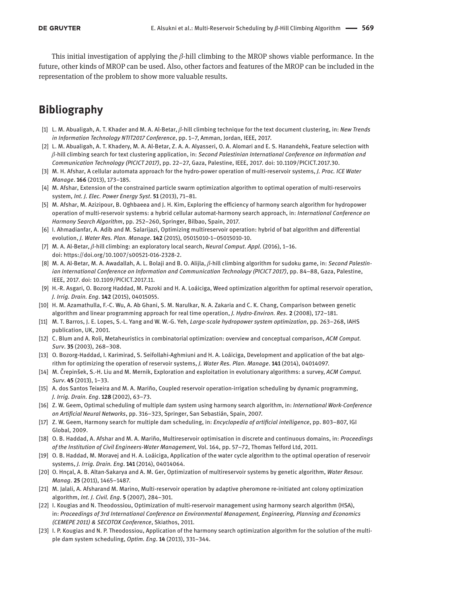This initial investigation of applying the  $\beta$ -hill climbing to the MROP shows viable performance. In the future, other kinds of MROP can be used. Also, other factors and features of the MROP can be included in the representation of the problem to show more valuable results.

# **Bibliography**

- [1] L. M. Abualigah, A. T. Khader and M. A. Al-Betar, β-hill climbing technique for the text document clustering, in: *New Trends in Information Technology NTIT2017 Conference*, pp. 1–7, Amman, Jordan, IEEE, 2017.
- [2] L. M. Abualigah, A. T. Khadery, M. A. Al-Betar, Z. A. A. Alyasseri, O. A. Alomari and E. S. Hanandehk, Feature selection with β-hill climbing search for text clustering application, in: *Second Palestinian International Conference on Information and Communication Technology (PICICT 2017)*, pp. 22–27, Gaza, Palestine, IEEE, 2017. doi: 10.1109/PICICT.2017.30.
- [3] M. H. Afshar, A cellular automata approach for the hydro-power operation of multi-reservoir systems, *J. Proc. ICE Water Manage*. **166** (2013), 173–185.
- [4] M. Afshar, Extension of the constrained particle swarm optimization algorithm to optimal operation of multi-reservoirs system, *Int. J. Elec. Power Energy Syst*. **51** (2013), 71–81.
- [5] M. Afshar, M. Azizipour, B. Oghbaeea and J. H. Kim, Exploring the efficiency of harmony search algorithm for hydropower operation of multi-reservoir systems: a hybrid cellular automat-harmony search approach, in: *International Conference on Harmony Search Algorithm*, pp. 252–260, Springer, Bilbao, Spain, 2017.
- [6] I. Ahmadianfar, A. Adib and M. Salarijazi, Optimizing multireservoir operation: hybrid of bat algorithm and differential evolution, *J. Water Res. Plan. Manage*. **142** (2015), 05015010-1–05015010-10.
- [7] M. A. Al-Betar, β-hill climbing: an exploratory local search, *Neural Comput. Appl.* (2016), 1–16. doi: https://doi.org/10.1007/s00521-016-2328-2.
- [8] M. A. Al-Betar, M. A. Awadallah, A. L. Bolaji and B. O. Alijla, β-hill climbing algorithm for sudoku game, in: *Second Palestinian International Conference on Information and Communication Technology (PICICT 2017)*, pp. 84–88, Gaza, Palestine, IEEE, 2017. doi: 10.1109/PICICT.2017.11.
- [9] H.-R. Asgari, O. Bozorg Haddad, M. Pazoki and H. A. Loáiciga, Weed optimization algorithm for optimal reservoir operation, *J. Irrig. Drain. Eng*. **142** (2015), 04015055.
- [10] H. M. Azamathulla, F.-C. Wu, A. Ab Ghani, S. M. Narulkar, N. A. Zakaria and C. K. Chang, Comparison between genetic algorithm and linear programming approach for real time operation, *J. Hydro-Environ. Res*. **2** (2008), 172–181.
- [11] M. T. Barros, J. E. Lopes, S.-L. Yang and W. W.-G. Yeh, *Large-scale hydropower system optimization*, pp. 263–268, IAHS publication, UK, 2001.
- [12] C. Blum and A. Roli, Metaheuristics in combinatorial optimization: overview and conceptual comparison, *ACM Comput. Surv*. **35** (2003), 268–308.
- [13] O. Bozorg-Haddad, I. Karimirad, S. Seifollahi-Aghmiuni and H. A. Loáiciga, Development and application of the bat algorithm for optimizing the operation of reservoir systems, *J. Water Res. Plan. Manage*. **141** (2014), 04014097.
- [14] M. Črepinšek, S.-H. Liu and M. Mernik, Exploration and exploitation in evolutionary algorithms: a survey, *ACM Comput. Surv*. **45** (2013), 1–33.
- [15] A. dos Santos Teixeira and M. A. Mariño, Coupled reservoir operation-irrigation scheduling by dynamic programming, *J. Irrig. Drain. Eng*. **128** (2002), 63–73.
- [16] Z. W. Geem, Optimal scheduling of multiple dam system using harmony search algorithm, in: *International Work-Conference on Artificial Neural Networks*, pp. 316–323, Springer, San Sebastián, Spain, 2007.
- [17] Z. W. Geem, Harmony search for multiple dam scheduling, in: *Encyclopedia of artificial intelligence*, pp. 803–807, IGI Global, 2009.
- [18] O. B. Haddad, A. Afshar and M. A. Mariño, Multireservoir optimisation in discrete and continuous domains, in: *Proceedings of the Institution of Civil Engineers-Water Management*, Vol. 164, pp. 57–72, Thomas Telford Ltd, 2011.
- [19] O. B. Haddad, M. Moravej and H. A. Loáiciga, Application of the water cycle algorithm to the optimal operation of reservoir systems, *J. Irrig. Drain. Eng*. **141** (2014), 04014064.
- [20] O. Hnçal, A. B. Altan-Sakarya and A. M. Ger, Optimization of multireservoir systems by genetic algorithm, *Water Resour. Manag*. **25** (2011), 1465–1487.
- [21] M. Jalali, A. Afsharand M. Marino, Multi-reservoir operation by adaptive pheromone re-initiated ant colony optimization algorithm, *Int. J. Civil. Eng*. **5** (2007), 284–301.
- [22] I. Kougias and N. Theodossiou, Optimization of multi-reservoir management using harmony search algorithm (HSA), in: *Proceedings of 3rd International Conference on Environmental Management, Engineering, Planning and Economics (CEMEPE 2011) & SECOTOX Conference*, Skiathos, 2011.
- [23] I. P. Kougias and N. P. Theodossiou, Application of the harmony search optimization algorithm for the solution of the multiple dam system scheduling, *Optim. Eng*. **14** (2013), 331–344.